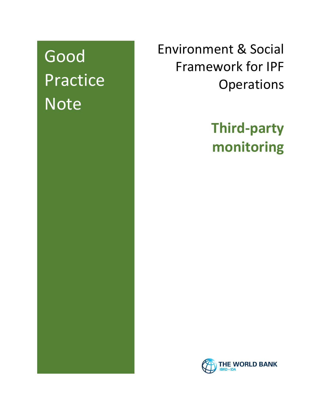# Good Practice Note

Environment & Social Framework for IPF **Operations** 

> **Third-party monitoring**

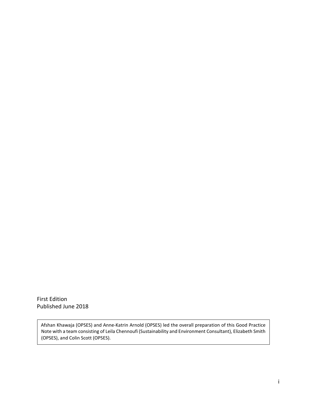First Edition Published June 2018

Afshan Khawaja (OPSES) and Anne-Katrin Arnold (OPSES) led the overall preparation of this Good Practice Note with a team consisting of Leila Chennoufi (Sustainability and Environment Consultant), Elizabeth Smith (OPSES), and Colin Scott (OPSES).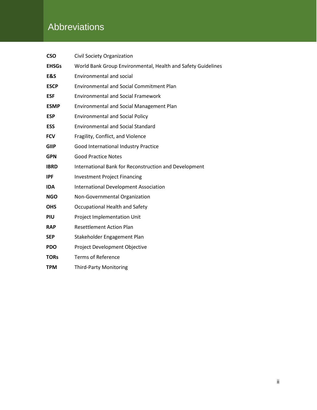# **Abbreviations**

| <b>CSO</b>   | Civil Society Organization                                   |
|--------------|--------------------------------------------------------------|
| <b>EHSGs</b> | World Bank Group Environmental, Health and Safety Guidelines |
| E&S          | <b>Environmental and social</b>                              |
| <b>ESCP</b>  | <b>Environmental and Social Commitment Plan</b>              |
| <b>ESF</b>   | <b>Environmental and Social Framework</b>                    |
| <b>ESMP</b>  | <b>Environmental and Social Management Plan</b>              |
| <b>ESP</b>   | <b>Environmental and Social Policy</b>                       |
| <b>ESS</b>   | <b>Environmental and Social Standard</b>                     |
| <b>FCV</b>   | Fragility, Conflict, and Violence                            |
| <b>GIIP</b>  | Good International Industry Practice                         |
| <b>GPN</b>   | <b>Good Practice Notes</b>                                   |
| <b>IBRD</b>  | International Bank for Reconstruction and Development        |
| <b>IPF</b>   | <b>Investment Project Financing</b>                          |
| <b>IDA</b>   | <b>International Development Association</b>                 |
| <b>NGO</b>   | Non-Governmental Organization                                |
| <b>OHS</b>   | Occupational Health and Safety                               |
| PIU          | Project Implementation Unit                                  |
| <b>RAP</b>   | <b>Resettlement Action Plan</b>                              |
| <b>SEP</b>   | Stakeholder Engagement Plan                                  |
| <b>PDO</b>   | Project Development Objective                                |
| <b>TORs</b>  | <b>Terms of Reference</b>                                    |
| <b>TPM</b>   | <b>Third-Party Monitoring</b>                                |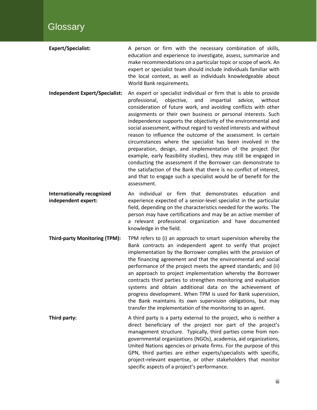| <b>Expert/Specialist:</b> | A person or firm with the necessary combination of skills,         |
|---------------------------|--------------------------------------------------------------------|
|                           | education and experience to investigate, assess, summarize and     |
|                           | make recommendations on a particular topic or scope of work. An    |
|                           | expert or specialist team should include individuals familiar with |
|                           | the local context, as well as individuals knowledgeable about      |
|                           | World Bank requirements.                                           |

**Independent Expert/Specialist:** An expert or specialist individual or firm that is able to provide professional, objective, and impartial advice, without consideration of future work, and avoiding conflicts with other assignments or their own business or personal interests. Such independence supports the objectivity of the environmental and social assessment, without regard to vested interests and without reason to influence the outcome of the assessment. In certain circumstances where the specialist has been involved in the preparation, design, and implementation of the project (for example, early feasibility studies), they may still be engaged in conducting the assessment if the Borrower can demonstrate to the satisfaction of the Bank that there is no conflict of interest, and that to engage such a specialist would be of benefit for the assessment.

**Internationally recognized** An individual or firm that demonstrates education and **independent expert:** experience expected of a senior-level specialist in the particular field, depending on the characteristics needed for the works. The person may have certifications and may be an active member of a relevant professional organization and have documented knowledge in the field.

**Third-party Monitoring (TPM):** TPM refers to (i) an approach to smart supervision whereby the Bank contracts an independent agent to verify that project implementation by the Borrower complies with the provision of the financing agreement and that the environmental and social performance of the project meets the agreed standards; and (ii) an approach to project implementation whereby the Borrower contracts third parties to strengthen monitoring and evaluation systems and obtain additional data on the achievement of progress development. When TPM is used for Bank supervision, the Bank maintains its own supervision obligations, but may transfer the implementation of the monitoring to an agent.

**Third party: A** third party is a party external to the project, who is neither a direct beneficiary of the project nor part of the project's management structure. Typically, third parties come from nongovernmental organizations (NGOs), academia, aid organizations, United Nations agencies or private firms. For the purpose of this GPN, third parties are either experts/specialists with specific, project-relevant expertise, or other stakeholders that monitor specific aspects of a project's performance.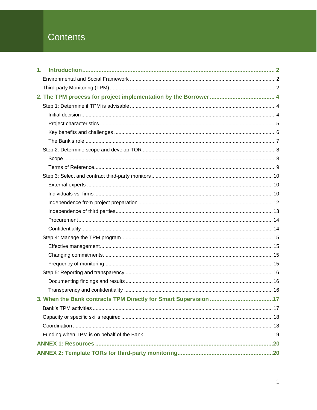# Contents

| 1. |  |
|----|--|
|    |  |
|    |  |
|    |  |
|    |  |
|    |  |
|    |  |
|    |  |
|    |  |
|    |  |
|    |  |
|    |  |
|    |  |
|    |  |
|    |  |
|    |  |
|    |  |
|    |  |
|    |  |
|    |  |
|    |  |
|    |  |
|    |  |
|    |  |
|    |  |
|    |  |
|    |  |
|    |  |
|    |  |
|    |  |
|    |  |
|    |  |
|    |  |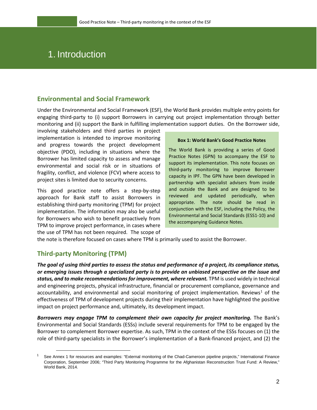# 1. Introduction

#### <span id="page-5-0"></span>**Environmental and Social Framework**

Under the Environmental and Social Framework (ESF), the World Bank provides multiple entry points for engaging third-party to (i) support Borrowers in carrying out project implementation through better monitoring and (ii) support the Bank in fulfilling implementation support duties. On the Borrower side,

involving stakeholders and third parties in project implementation is intended to improve monitoring and progress towards the project development objective (PDO), including in situations where the Borrower has limited capacity to assess and manage environmental and social risk or in situations of fragility, conflict, and violence (FCV) where access to project sites is limited due to security concerns.

This good practice note offers a step-by-step approach for Bank staff to assist Borrowers in establishing third-party monitoring (TPM) for project implementation. The information may also be useful for Borrowers who wish to benefit proactively from TPM to improve project performance, in cases where the use of TPM has not been required. The scope of

#### **Box 1: World Bank's Good Practice Notes**

The World Bank is providing a series of Good Practice Notes (GPN) to accompany the ESF to support its implementation. This note focuses on third-party monitoring to improve Borrower capacity in IPF. The GPN have been developed in partnership with specialist advisers from inside and outside the Bank and are designed to be reviewed and updated periodically, when appropriate. The note should be read in conjunction with the ESF, including the Policy, the Environmental and Social Standards (ESS1-10) and the accompanying Guidance Notes.

the note is therefore focused on cases where TPM is primarily used to assist the Borrower.

## <span id="page-5-1"></span>**Third-party Monitoring (TPM)**

 $\ddot{\phantom{a}}$ 

*The goal of using third parties to assess the status and performance of a project, its compliance status, or emerging issues through a specialized party is to provide an unbiased perspective on the issue and status, and to make recommendations for improvement, where relevant.* TPM is used widely in technical and engineering projects, physical infrastructure, financial or procurement compliance, governance and accountability, and environmental and social monitoring of project implementation. Reviews<sup>[1](#page-5-2)</sup> of the effectiveness of TPM of development projects during their implementation have highlighted the positive impact on project performance and, ultimately, its development impact.

Borrowers may engage TPM to complement their own capacity for project monitoring. The Bank's Environmental and Social Standards (ESSs) include several requirements for TPM to be engaged by the Borrower to complement Borrower expertise. As such, TPM in the context of the ESSs focuses on (1) the role of third-party specialists in the Borrower's implementation of a Bank-financed project, and (2) the

<span id="page-5-2"></span> $1$  See Annex 1 for resources and examples: "External monitoring of the Chad-Cameroon pipeline projects," International Finance [Corporation, September 2006; "Third Party Monitoring Programme for the Afghanistan Reconstruction Trust Fund: A Review,](http://www.ifc.org/wps/wcm/connect/topics_ext_content/ifc_external_corporate_site/sustainability-at-ifc/publications/publications_loe_chadcameroon__wci__1319579582557)" World Bank, 2014.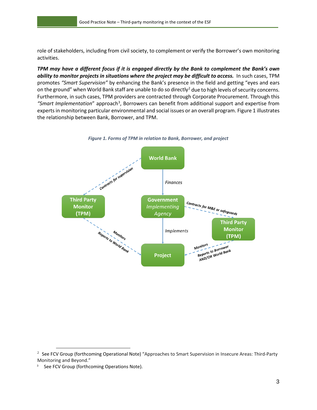role of stakeholders, including from civil society, to complement or verify the Borrower's own monitoring activities.

*TPM may have a different focus if it is engaged directly by the Bank to complement the Bank's own ability to monitor projects in situations where the project may be difficult to access.* In such cases, TPM promotes *"Smart Supervision"* by enhancing the Bank's presence in the field and getting "eyes and ears on the ground" when World Bank staff are unable to do so directly<sup>[2](#page-6-0)</sup> due to high levels of security concerns. Furthermore, in such cases, TPM providers are contracted through Corporate Procurement. Through this "Smart Implementation" approach<sup>[3](#page-6-1)</sup>, Borrowers can benefit from additional support and expertise from experts in monitoring particular environmental and social issues or an overall program. Figure 1 illustrates the relationship between Bank, Borrower, and TPM.





 $\ddot{\phantom{a}}$ 

<span id="page-6-0"></span><sup>&</sup>lt;sup>2</sup> See FCV Group (forthcoming Operational Note) "Approaches to Smart Supervision in Insecure Areas: Third-Party Monitoring and Beyond."

<span id="page-6-1"></span><sup>&</sup>lt;sup>3</sup> See FCV Group (forthcoming Operations Note).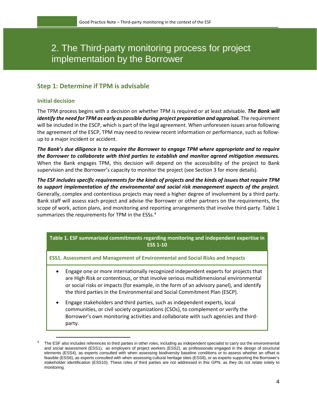# 2. The Third-party monitoring process for project implementation by the Borrower

# <span id="page-7-0"></span>**Step 1: Determine if TPM is advisable**

#### <span id="page-7-1"></span>**Initial decision**

 $\ddot{\phantom{a}}$ 

The TPM process begins with a decision on whether TPM is required or at least advisable. *The Bank will identify the need for TPM as early as possible during project preparation and appraisal.* The requirement will be included in the ESCP, which is part of the legal agreement. When unforeseen issues arise following the agreement of the ESCP, TPM may need to review recent information or performance, such as followup to a major incident or accident.

*The Bank's due diligence is to require the Borrower to engage TPM where appropriate and to require the Borrower to collaborate with third parties to establish and monitor agreed mitigation measures.* When the Bank engages TPM, this decision will depend on the accessibility of the project to Bank supervision and the Borrower's capacity to monitor the project (see Section 3 for more details).

*The ESF includes specific requirements for the kinds of projects and the kinds of issues that require TPM to support implementation of the environmental and social risk management aspects of the project.*  Generally, complex and contentious projects may need a higher degree of involvement by a third party. Bank staff will assess each project and advise the Borrower or other partners on the requirements, the scope of work, action plans, and monitoring and reporting arrangements that involve third-party. Table 1 summarizes the requirements for TPM in the ESSs.<sup>[4](#page-7-2)</sup>

**Table 1. ESF summarized commitments regarding monitoring and independent expertise in ESS 1-10**

**ESS1. Assessment and Management of Environmental and Social Risks and Impacts**

- Engage one or more internationally recognized independent experts for projects that are High Risk or contentious, or that involve serious multidimensional environmental or social risks or impacts (for example, in the form of an advisory panel), and identify the third parties in the Environmental and Social Commitment Plan (ESCP).
- Engage stakeholders and third parties, such as independent experts, local communities, or civil society organizations (CSOs), to complement or verify the Borrower's own monitoring activities and collaborate with such agencies and thirdparty.

<span id="page-7-2"></span><sup>4</sup> The ESF also includes references to third parties in other roles, including as independent specialist to carry out the environmental and social assessment (ESS1), as employers of project workers (ESS2), as professionals engaged in the design of structural elements (ESS4), as experts consulted with when assessing biodiversity baseline conditions or to assess whether an offset is feasible (ESS6), as experts consulted with when assessing cultural heritage sites (ESS8), or as experts supporting the Borrower's stakeholder identification (ESS10). These roles of third parties are not addressed in this GPN, as they do not relate solely to monitoring.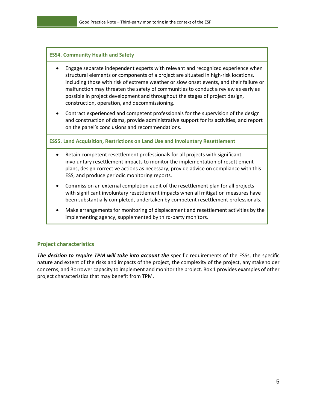#### **ESS4. Community Health and Safety**

- Engage separate independent experts with relevant and recognized experience when structural elements or components of a project are situated in high-risk locations, including those with risk of extreme weather or slow onset events, and their failure or malfunction may threaten the safety of communities to conduct a review as early as possible in project development and throughout the stages of project design, construction, operation, and decommissioning.
- Contract experienced and competent professionals for the supervision of the design and construction of dams, provide administrative support for its activities, and report on the panel's conclusions and recommendations.

**ESS5. Land Acquisition, Restrictions on Land Use and Involuntary Resettlement**

- Retain competent resettlement professionals for all projects with significant involuntary resettlement impacts to monitor the implementation of resettlement plans, design corrective actions as necessary, provide advice on compliance with this ESS, and produce periodic monitoring reports.
- Commission an external completion audit of the resettlement plan for all projects with significant involuntary resettlement impacts when all mitigation measures have been substantially completed, undertaken by competent resettlement professionals.
- Make arrangements for monitoring of displacement and resettlement activities by the implementing agency, supplemented by third-party monitors.

#### <span id="page-8-0"></span>**Project characteristics**

The decision to require TPM will take into account the specific requirements of the ESSs, the specific nature and extent of the risks and impacts of the project, the complexity of the project, any stakeholder concerns, and Borrower capacity to implement and monitor the project. Box 1 provides examples of other project characteristics that may benefit from TPM.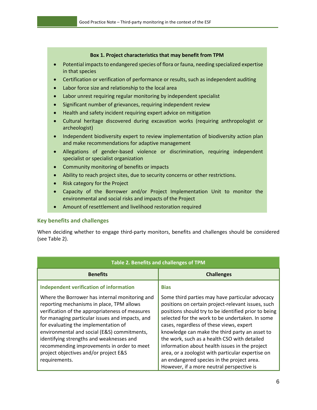#### **Box 1. Project characteristics that may benefit from TPM**

- Potential impacts to endangered species of flora or fauna, needing specialized expertise in that species
- Certification or verification of performance or results, such as independent auditing
- Labor force size and relationship to the local area
- Labor unrest requiring regular monitoring by independent specialist
- Significant number of grievances, requiring independent review
- Health and safety incident requiring expert advice on mitigation
- Cultural heritage discovered during excavation works (requiring anthropologist or archeologist)
- Independent biodiversity expert to review implementation of biodiversity action plan and make recommendations for adaptive management
- Allegations of gender-based violence or discrimination, requiring independent specialist or specialist organization
- Community monitoring of benefits or impacts
- Ability to reach project sites, due to security concerns or other restrictions.
- Risk category for the Project
- Capacity of the Borrower and/or Project Implementation Unit to monitor the environmental and social risks and impacts of the Project
- Amount of resettlement and livelihood restoration required

#### <span id="page-9-0"></span>**Key benefits and challenges**

When deciding whether to engage third-party monitors, benefits and challenges should be considered (see Table 2).

| Table 2. Benefits and challenges of TPM                                                                                                                                                                                                                                                                                                                                                                                                      |                                                                                                                                                                                                                                                                                                                                                                                                                                                                                                                                                                  |  |
|----------------------------------------------------------------------------------------------------------------------------------------------------------------------------------------------------------------------------------------------------------------------------------------------------------------------------------------------------------------------------------------------------------------------------------------------|------------------------------------------------------------------------------------------------------------------------------------------------------------------------------------------------------------------------------------------------------------------------------------------------------------------------------------------------------------------------------------------------------------------------------------------------------------------------------------------------------------------------------------------------------------------|--|
| <b>Benefits</b>                                                                                                                                                                                                                                                                                                                                                                                                                              | <b>Challenges</b>                                                                                                                                                                                                                                                                                                                                                                                                                                                                                                                                                |  |
| <b>Independent verification of information</b>                                                                                                                                                                                                                                                                                                                                                                                               | <b>Bias</b>                                                                                                                                                                                                                                                                                                                                                                                                                                                                                                                                                      |  |
| Where the Borrower has internal monitoring and<br>reporting mechanisms in place, TPM allows<br>verification of the appropriateness of measures<br>for managing particular issues and impacts, and<br>for evaluating the implementation of<br>environmental and social (E&S) commitments,<br>identifying strengths and weaknesses and<br>recommending improvements in order to meet<br>project objectives and/or project E&S<br>requirements. | Some third parties may have particular advocacy<br>positions on certain project-relevant issues, such<br>positions should try to be identified prior to being<br>selected for the work to be undertaken. In some<br>cases, regardless of these views, expert<br>knowledge can make the third party an asset to<br>the work, such as a health CSO with detailed<br>information about health issues in the project<br>area, or a zoologist with particular expertise on<br>an endangered species in the project area.<br>However, if a more neutral perspective is |  |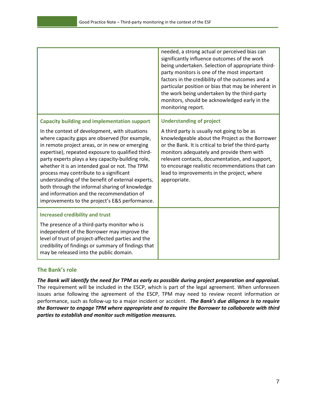|                                                                                                                                                                                                                                                                                                                                                                                                                                                                                                                                                                 | needed, a strong actual or perceived bias can<br>significantly influence outcomes of the work<br>being undertaken. Selection of appropriate third-<br>party monitors is one of the most important<br>factors in the credibility of the outcomes and a<br>particular position or bias that may be inherent in<br>the work being undertaken by the third-party<br>monitors, should be acknowledged early in the<br>monitoring report. |
|-----------------------------------------------------------------------------------------------------------------------------------------------------------------------------------------------------------------------------------------------------------------------------------------------------------------------------------------------------------------------------------------------------------------------------------------------------------------------------------------------------------------------------------------------------------------|-------------------------------------------------------------------------------------------------------------------------------------------------------------------------------------------------------------------------------------------------------------------------------------------------------------------------------------------------------------------------------------------------------------------------------------|
| <b>Capacity building and implementation support</b>                                                                                                                                                                                                                                                                                                                                                                                                                                                                                                             | <b>Understanding of project</b>                                                                                                                                                                                                                                                                                                                                                                                                     |
| In the context of development, with situations<br>where capacity gaps are observed (for example,<br>in remote project areas, or in new or emerging<br>expertise), repeated exposure to qualified third-<br>party experts plays a key capacity-building role,<br>whether it is an intended goal or not. The TPM<br>process may contribute to a significant<br>understanding of the benefit of external experts,<br>both through the informal sharing of knowledge<br>and information and the recommendation of<br>improvements to the project's E&S performance. | A third party is usually not going to be as<br>knowledgeable about the Project as the Borrower<br>or the Bank. It is critical to brief the third-party<br>monitors adequately and provide them with<br>relevant contacts, documentation, and support,<br>to encourage realistic recommendations that can<br>lead to improvements in the project, where<br>appropriate.                                                              |
| <b>Increased credibility and trust</b><br>The presence of a third-party monitor who is<br>independent of the Borrower may improve the<br>level of trust of project-affected parties and the<br>credibility of findings or summary of findings that<br>may be released into the public domain.                                                                                                                                                                                                                                                                   |                                                                                                                                                                                                                                                                                                                                                                                                                                     |

#### <span id="page-10-0"></span>**The Bank's role**

*The Bank will identify the need for TPM as early as possible during project preparation and appraisal.* The requirement will be included in the ESCP, which is part of the legal agreement. When unforeseen issues arise following the agreement of the ESCP, TPM may need to review recent information or performance, such as follow-up to a major incident or accident. *The Bank's due diligence is to require the Borrower to engage TPM where appropriate and to require the Borrower to collaborate with third parties to establish and monitor such mitigation measures.*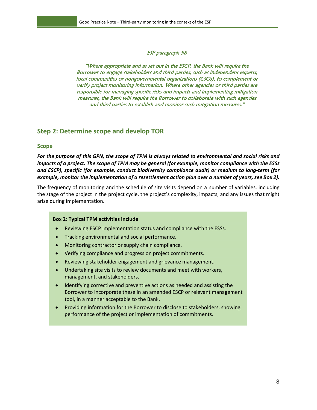#### ESP paragraph 58

"Where appropriate and as set out in the ESCP, the Bank will require the Borrower to engage stakeholders and third parties, such as independent experts, local communities or nongovernmental organizations (CSOs), to complement or verify project monitoring information. Where other agencies or third parties are responsible for managing specific risks and impacts and implementing mitigation measures, the Bank will require the Borrower to collaborate with such agencies and third parties to establish and monitor such mitigation measures."

#### <span id="page-11-0"></span>**Step 2: Determine scope and develop TOR**

#### <span id="page-11-1"></span>**Scope**

*For the purpose of this GPN, the scope of TPM is always related to environmental and social risks and impacts of a project. The scope of TPM may be general (for example, monitor compliance with the ESSs and ESCP), specific (for example, conduct biodiversity compliance audit) or medium to long-term (for example, monitor the implementation of a resettlement action plan over a number of years, see Box 2).*

The frequency of monitoring and the schedule of site visits depend on a number of variables, including the stage of the project in the project cycle, the project's complexity, impacts, and any issues that might arise during implementation.

#### **Box 2: Typical TPM activities include**

- Reviewing ESCP implementation status and compliance with the ESSs.
- Tracking environmental and social performance.
- Monitoring contractor or supply chain compliance.
- Verifying compliance and progress on project commitments.
- Reviewing stakeholder engagement and grievance management.
- Undertaking site visits to review documents and meet with workers, management, and stakeholders.
- Identifying corrective and preventive actions as needed and assisting the Borrower to incorporate these in an amended ESCP or relevant management tool, in a manner acceptable to the Bank.
- Providing information for the Borrower to disclose to stakeholders, showing performance of the project or implementation of commitments.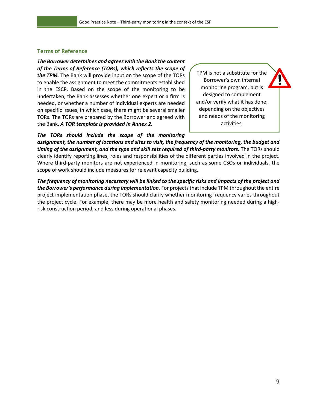#### <span id="page-12-0"></span>**Terms of Reference**

## *The Borrower determines and agrees with the Bank the content of the Terms of Reference (TORs), which reflects the scope of*

*the TPM.* The Bank will provide input on the scope of the TORs to enable the assignment to meet the commitments established in the ESCP. Based on the scope of the monitoring to be undertaken, the Bank assesses whether one expert or a firm is needed, or whether a number of individual experts are needed on specific issues, in which case, there might be several smaller TORs. The TORs are prepared by the Borrower and agreed with the Bank. *A TOR template is provided in Annex 2.*

TPM is not a substitute for the Borrower's own internal monitoring program, but is designed to complement and/or verify what it has done, depending on the objectives and needs of the monitoring activities.

#### *The TORs should include the scope of the monitoring*

*assignment, the number of locations and sites to visit, the frequency of the monitoring, the budget and timing of the assignment, and the type and skill sets required of third-party monitors.* The TORs should clearly identify reporting lines, roles and responsibilities of the different parties involved in the project. Where third-party monitors are not experienced in monitoring, such as some CSOs or individuals, the scope of work should include measures for relevant capacity building.

*The frequency of monitoring necessary will be linked to the specific risks and impacts of the project and*  the Borrower's performance during implementation. For projects that include TPM throughout the entire project implementation phase, the TORs should clarify whether monitoring frequency varies throughout the project cycle. For example, there may be more health and safety monitoring needed during a highrisk construction period, and less during operational phases.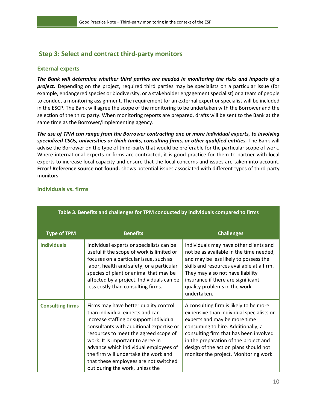# <span id="page-13-0"></span>**Step 3: Select and contract third-party monitors**

#### <span id="page-13-1"></span>**External experts**

*The Bank will determine whether third parties are needed in monitoring the risks and impacts of a project.* Depending on the project, required third parties may be specialists on a particular issue (for example, endangered species or biodiversity, or a stakeholder engagement specialist) or a team of people to conduct a monitoring assignment. The requirement for an external expert or specialist will be included in the ESCP. The Bank will agree the scope of the monitoring to be undertaken with the Borrower and the selection of the third party. When monitoring reports are prepared, drafts will be sent to the Bank at the same time as the Borrower/implementing agency.

*The use of TPM can range from the Borrower contracting one or more individual experts, to involving specialized CSOs, universities or think-tanks, consulting firms, or other qualified entities.* The Bank will advise the Borrower on the type of third-party that would be preferable for the particular scope of work. Where international experts or firms are contracted, it is good practice for them to partner with local experts to increase local capacity and ensure that the local concerns and issues are taken into account. **Error! Reference source not found.** shows potential issues associated with different types of third-party monitors.

| Table 3. Benefits and challenges for TPM conducted by individuals compared to firms |                                                                                                                                                                                                                                                                                                                                                                                                            |                                                                                                                                                                                                                                                                                                                              |  |
|-------------------------------------------------------------------------------------|------------------------------------------------------------------------------------------------------------------------------------------------------------------------------------------------------------------------------------------------------------------------------------------------------------------------------------------------------------------------------------------------------------|------------------------------------------------------------------------------------------------------------------------------------------------------------------------------------------------------------------------------------------------------------------------------------------------------------------------------|--|
| <b>Type of TPM</b>                                                                  | <b>Benefits</b>                                                                                                                                                                                                                                                                                                                                                                                            | <b>Challenges</b>                                                                                                                                                                                                                                                                                                            |  |
| <b>Individuals</b>                                                                  | Individual experts or specialists can be<br>useful if the scope of work is limited or<br>focuses on a particular issue, such as<br>labor, health and safety, or a particular<br>species of plant or animal that may be<br>affected by a project. Individuals can be<br>less costly than consulting firms.                                                                                                  | Individuals may have other clients and<br>not be as available in the time needed,<br>and may be less likely to possess the<br>skills and resources available at a firm.<br>They may also not have liability<br>insurance if there are significant<br>quality problems in the work<br>undertaken.                             |  |
| <b>Consulting firms</b>                                                             | Firms may have better quality control<br>than individual experts and can<br>increase staffing or support individual<br>consultants with additional expertise or<br>resources to meet the agreed scope of<br>work. It is important to agree in<br>advance which individual employees of<br>the firm will undertake the work and<br>that these employees are not switched<br>out during the work, unless the | A consulting firm is likely to be more<br>expensive than individual specialists or<br>experts and may be more time<br>consuming to hire. Additionally, a<br>consulting firm that has been involved<br>in the preparation of the project and<br>design of the action plans should not<br>monitor the project. Monitoring work |  |

#### <span id="page-13-2"></span>**Individuals vs. firms**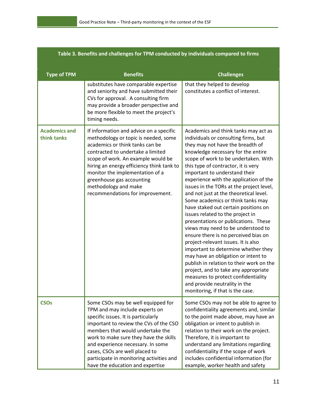| Table 3. Benefits and challenges for TPM conducted by individuals compared to firms |                                                                                                                                                                                                                                                                                                                                                                                            |                                                                                                                                                                                                                                                                                                                                                                                                                                                                                                                                                                                                                                                                                                                                                                                                                                                                                                                                                                    |  |
|-------------------------------------------------------------------------------------|--------------------------------------------------------------------------------------------------------------------------------------------------------------------------------------------------------------------------------------------------------------------------------------------------------------------------------------------------------------------------------------------|--------------------------------------------------------------------------------------------------------------------------------------------------------------------------------------------------------------------------------------------------------------------------------------------------------------------------------------------------------------------------------------------------------------------------------------------------------------------------------------------------------------------------------------------------------------------------------------------------------------------------------------------------------------------------------------------------------------------------------------------------------------------------------------------------------------------------------------------------------------------------------------------------------------------------------------------------------------------|--|
| <b>Type of TPM</b>                                                                  | <b>Benefits</b>                                                                                                                                                                                                                                                                                                                                                                            | <b>Challenges</b>                                                                                                                                                                                                                                                                                                                                                                                                                                                                                                                                                                                                                                                                                                                                                                                                                                                                                                                                                  |  |
|                                                                                     | substitutes have comparable expertise<br>and seniority and have submitted their<br>CVs for approval. A consulting firm<br>may provide a broader perspective and<br>be more flexible to meet the project's<br>timing needs.                                                                                                                                                                 | that they helped to develop<br>constitutes a conflict of interest.                                                                                                                                                                                                                                                                                                                                                                                                                                                                                                                                                                                                                                                                                                                                                                                                                                                                                                 |  |
| <b>Academics and</b><br>think tanks                                                 | If information and advice on a specific<br>methodology or topic is needed, some<br>academics or think tanks can be<br>contracted to undertake a limited<br>scope of work. An example would be<br>hiring an energy efficiency think tank to<br>monitor the implementation of a<br>greenhouse gas accounting<br>methodology and make<br>recommendations for improvement.                     | Academics and think tanks may act as<br>individuals or consulting firms, but<br>they may not have the breadth of<br>knowledge necessary for the entire<br>scope of work to be undertaken. With<br>this type of contractor, it is very<br>important to understand their<br>experience with the application of the<br>issues in the TORs at the project level,<br>and not just at the theoretical level.<br>Some academics or think tanks may<br>have staked out certain positions on<br>issues related to the project in<br>presentations or publications. These<br>views may need to be understood to<br>ensure there is no perceived bias on<br>project-relevant issues. It is also<br>important to determine whether they<br>may have an obligation or intent to<br>publish in relation to their work on the<br>project, and to take any appropriate<br>measures to protect confidentiality<br>and provide neutrality in the<br>monitoring, if that is the case. |  |
| <b>CSO<sub>s</sub></b>                                                              | Some CSOs may be well equipped for<br>TPM and may include experts on<br>specific issues. It is particularly<br>important to review the CVs of the CSO<br>members that would undertake the<br>work to make sure they have the skills<br>and experience necessary. In some<br>cases, CSOs are well placed to<br>participate in monitoring activities and<br>have the education and expertise | Some CSOs may not be able to agree to<br>confidentiality agreements and, similar<br>to the point made above, may have an<br>obligation or intent to publish in<br>relation to their work on the project.<br>Therefore, it is important to<br>understand any limitations regarding<br>confidentiality if the scope of work<br>includes confidential information (for<br>example, worker health and safety                                                                                                                                                                                                                                                                                                                                                                                                                                                                                                                                                           |  |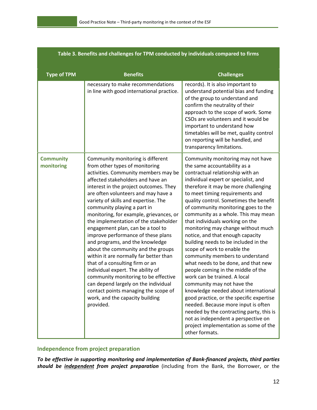| rable 5. Defierts and challenges for Trivi conducted by individuals compared to minis |                                                                                                                                                                                                                                                                                                                                                                                                                                                                                                                                                                                                                                                                                                                                                                                                                                            |                                                                                                                                                                                                                                                                                                                                                                                                                                                                                                                                                                                                                                                                                                                                                                                                                                                                                                                                                                                             |  |
|---------------------------------------------------------------------------------------|--------------------------------------------------------------------------------------------------------------------------------------------------------------------------------------------------------------------------------------------------------------------------------------------------------------------------------------------------------------------------------------------------------------------------------------------------------------------------------------------------------------------------------------------------------------------------------------------------------------------------------------------------------------------------------------------------------------------------------------------------------------------------------------------------------------------------------------------|---------------------------------------------------------------------------------------------------------------------------------------------------------------------------------------------------------------------------------------------------------------------------------------------------------------------------------------------------------------------------------------------------------------------------------------------------------------------------------------------------------------------------------------------------------------------------------------------------------------------------------------------------------------------------------------------------------------------------------------------------------------------------------------------------------------------------------------------------------------------------------------------------------------------------------------------------------------------------------------------|--|
| <b>Type of TPM</b>                                                                    | <b>Benefits</b>                                                                                                                                                                                                                                                                                                                                                                                                                                                                                                                                                                                                                                                                                                                                                                                                                            | <b>Challenges</b>                                                                                                                                                                                                                                                                                                                                                                                                                                                                                                                                                                                                                                                                                                                                                                                                                                                                                                                                                                           |  |
|                                                                                       | necessary to make recommendations<br>in line with good international practice.                                                                                                                                                                                                                                                                                                                                                                                                                                                                                                                                                                                                                                                                                                                                                             | records). It is also important to<br>understand potential bias and funding<br>of the group to understand and<br>confirm the neutrality of their<br>approach to the scope of work. Some<br>CSOs are volunteers and it would be<br>important to understand how<br>timetables will be met, quality control<br>on reporting will be handled, and<br>transparency limitations.                                                                                                                                                                                                                                                                                                                                                                                                                                                                                                                                                                                                                   |  |
| <b>Community</b><br>monitoring                                                        | Community monitoring is different<br>from other types of monitoring<br>activities. Community members may be<br>affected stakeholders and have an<br>interest in the project outcomes. They<br>are often volunteers and may have a<br>variety of skills and expertise. The<br>community playing a part in<br>monitoring, for example, grievances, or<br>the implementation of the stakeholder<br>engagement plan, can be a tool to<br>improve performance of these plans<br>and programs, and the knowledge<br>about the community and the groups<br>within it are normally far better than<br>that of a consulting firm or an<br>individual expert. The ability of<br>community monitoring to be effective<br>can depend largely on the individual<br>contact points managing the scope of<br>work, and the capacity building<br>provided. | Community monitoring may not have<br>the same accountability as a<br>contractual relationship with an<br>individual expert or specialist, and<br>therefore it may be more challenging<br>to meet timing requirements and<br>quality control. Sometimes the benefit<br>of community monitoring goes to the<br>community as a whole. This may mean<br>that individuals working on the<br>monitoring may change without much<br>notice, and that enough capacity<br>building needs to be included in the<br>scope of work to enable the<br>community members to understand<br>what needs to be done, and that new<br>people coming in the middle of the<br>work can be trained. A local<br>community may not have the<br>knowledge needed about international<br>good practice, or the specific expertise<br>needed. Because more input is often<br>needed by the contracting party, this is<br>not as independent a perspective on<br>project implementation as some of the<br>other formats. |  |

#### **Table 3. Benefits and challenges for TPM conducted by individuals compared to firms**

## <span id="page-15-0"></span>**Independence from project preparation**

*To be effective in supporting monitoring and implementation of Bank-financed projects, third parties should be independent from project preparation* (including from the Bank, the Borrower, or the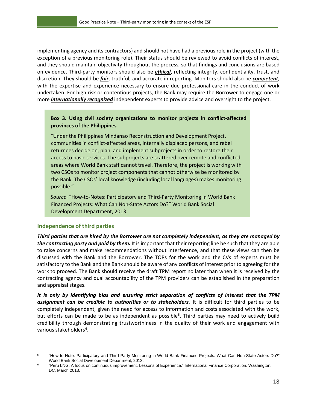implementing agency and its contractors) and should not have had a previous role in the project (with the exception of a previous monitoring role). Their status should be reviewed to avoid conflicts of interest, and they should maintain objectivity throughout the process, so that findings and conclusions are based on evidence. Third-party monitors should also be *ethical*, reflecting integrity, confidentiality, trust, and discretion. They should be *fair*, truthful, and accurate in reporting. Monitors should also be *competent*, with the expertise and experience necessary to ensure due professional care in the conduct of work undertaken. For high risk or contentious projects, the Bank may require the Borrower to engage one or more *internationally recognized* independent experts to provide advice and oversight to the project.

#### **Box 3. Using civil society organizations to monitor projects in conflict-affected provinces of the Philippines**

"Under the Philippines Mindanao Reconstruction and Development Project, communities in conflict-affected areas, internally displaced persons, and rebel returnees decide on, plan, and implement subprojects in order to restore their access to basic services. The subprojects are scattered over remote and conflicted areas where World Bank staff cannot travel. Therefore, the project is working with two CSOs to monitor project components that cannot otherwise be monitored by the Bank. The CSOs' local knowledge (including local languages) makes monitoring possible."

*Source*: "How-to-Notes: Participatory and Third-Party Monitoring in World Bank Financed Projects: What Can Non-State Actors Do?" World Bank Social Development Department, 2013.

#### <span id="page-16-0"></span>**Independence of third parties**

*Third parties that are hired by the Borrower are not completely independent, as they are managed by the contracting party and paid by them.* It is important that their reporting line be such that they are able to raise concerns and make recommendations without interference, and that these views can then be discussed with the Bank and the Borrower. The TORs for the work and the CVs of experts must be satisfactory to the Bank and the Bank should be aware of any conflicts of interest prior to agreeing for the work to proceed. The Bank should receive the draft TPM report no later than when it is received by the contracting agency and dual accountability of the TPM providers can be established in the preparation and appraisal stages.

*It is only by identifying bias and ensuring strict separation of conflicts of interest that the TPM assignment can be credible to authorities or to stakeholders.* It is difficult for third parties to be completely independent, given the need for access to information and costs associated with the work, but efforts can be made to be as independent as possible<sup>[5](#page-16-1)</sup>. Third parties may need to actively build credibility through demonstrating trustworthiness in the quality of their work and engagement with various stakeholders<sup>[6](#page-16-2)</sup>.

<span id="page-16-1"></span> <sup>5</sup> ["How to Note: Participatory and Third Party Monitoring in World Bank Financed Projects: What Can](http://siteresources.worldbank.org/EXTSOCIALDEVELOPMENT/Resources/244362-1193949504055/4348035-1352736698664/8931746-1364579999657/HowToNotesParticipatory&TPM.pdf) Non-State Actors Do?" World Bank Social Development Department, 2013.

<span id="page-16-2"></span><sup>6</sup> ["Peru LNG: A focus on continuous improvement, Lessons of Experience."](http://www.ifc.org/wps/wcm/connect/4937c0804f612f0397f2ff0098cb14b9/IFC_LOE_PLNG.pdf?MOD=AJPERES) International Finance Corporation, Washington, [DC, March 2013.](http://www.ifc.org/wps/wcm/connect/4937c0804f612f0397f2ff0098cb14b9/IFC_LOE_PLNG.pdf?MOD=AJPERES)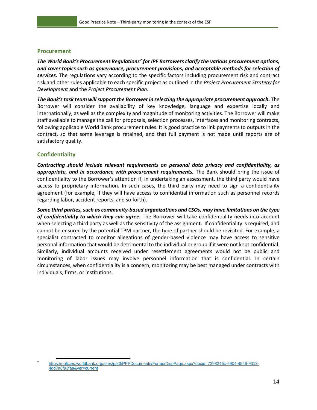#### <span id="page-17-0"></span>**Procurement**

*The World Bank's Procurement Regulations[7](#page-17-2) for IPF Borrowers clarify the various procurement options, and cover topics such as governance, procurement provisions, and acceptable methods for selection of services.* The regulations vary according to the specific factors including procurement risk and contract risk and other rules applicable to each specific project as outlined in the *Project Procurement Strategy for Development* and the *Project Procurement Plan*.

*The Bank's task team will support the Borrower in selecting the appropriate procurement approach.* **The** Borrower will consider the availability of key knowledge, language and expertise locally and internationally, as well as the complexity and magnitude of monitoring activities. The Borrower will make staff available to manage the call for proposals, selection processes, interfaces and monitoring contracts, following applicable World Bank procurement rules. It is good practice to link payments to outputs in the contract, so that some leverage is retained, and that full payment is not made until reports are of satisfactory quality.

#### <span id="page-17-1"></span>**Confidentiality**

*Contracting should include relevant requirements on personal data privacy and confidentiality, as appropriate, and in accordance with procurement requirements.* The Bank should bring the issue of confidentiality to the Borrower's attention if, in undertaking an assessment, the third party would have access to proprietary information. In such cases, the third party may need to sign a confidentiality agreement (for example, if they will have access to confidential information such as personnel records regarding labor, accident reports, and so forth).

*Some third parties, such as community-based organizations and CSOs, may have limitations on the type of confidentiality to which they can agree.* The Borrower will take confidentiality needs into account when selecting a third party as well as the sensitivity of the assignment. If confidentiality is required, and cannot be ensured by the potential TPM partner, the type of partner should be revisited. For example, a specialist contracted to monitor allegations of gender-based violence may have access to sensitive personal information that would be detrimental to the individual or group if it were not kept confidential. Similarly, individual amounts received under resettlement agreements would not be public and monitoring of labor issues may involve personnel information that is confidential. In certain circumstances, when confidentiality is a concern, monitoring may be best managed under contracts with individuals, firms, or institutions.

<span id="page-17-2"></span> <sup>7</sup> [https://policies.worldbank.org/sites/ppf3/PPFDocuments/Forms/DispPage.aspx?docid=7398246c-6904-4546-9313-](https://policies.worldbank.org/sites/ppf3/PPFDocuments/Forms/DispPage.aspx?docid=7398246c-6904-4546-9313-4dd7a8f93faa&ver=current) [4dd7a8f93faa&ver=current](https://policies.worldbank.org/sites/ppf3/PPFDocuments/Forms/DispPage.aspx?docid=7398246c-6904-4546-9313-4dd7a8f93faa&ver=current)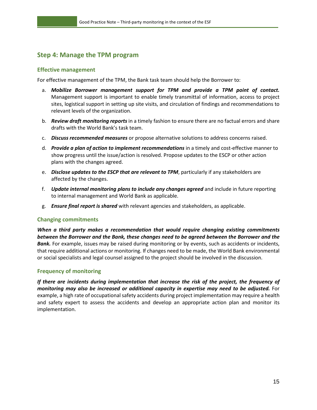# <span id="page-18-0"></span>**Step 4: Manage the TPM program**

#### <span id="page-18-1"></span>**Effective management**

For effective management of the TPM, the Bank task team should help the Borrower to:

- a. *Mobilize Borrower management support for TPM and provide a TPM point of contact.* Management support is important to enable timely transmittal of information, access to project sites, logistical support in setting up site visits, and circulation of findings and recommendations to relevant levels of the organization.
- b. *Review draft monitoring reports* in a timely fashion to ensure there are no factual errors and share drafts with the World Bank's task team.
- c. *Discuss recommended measures* or propose alternative solutions to address concerns raised.
- d. *Provide a plan of action to implement recommendations* in a timely and cost-effective manner to show progress until the issue/action is resolved. Propose updates to the ESCP or other action plans with the changes agreed.
- e. *Disclose updates to the ESCP that are relevant to TPM*, particularly if any stakeholders are affected by the changes.
- f. *Update internal monitoring plans to include any changes agreed* and include in future reporting to internal management and World Bank as applicable.
- g. *Ensure final report is shared* with relevant agencies and stakeholders, as applicable.

#### <span id="page-18-2"></span>**Changing commitments**

*When a third party makes a recommendation that would require changing existing commitments between the Borrower and the Bank, these changes need to be agreed between the Borrower and the*  **Bank.** For example, issues may be raised during monitoring or by events, such as accidents or incidents, that require additional actions or monitoring. If changes need to be made, the World Bank environmental or social specialists and legal counsel assigned to the project should be involved in the discussion.

#### <span id="page-18-3"></span>**Frequency of monitoring**

*If there are incidents during implementation that increase the risk of the project, the frequency of monitoring may also be increased or additional capacity in expertise may need to be adjusted.* For example, a high rate of occupational safety accidents during project implementation may require a health and safety expert to assess the accidents and develop an appropriate action plan and monitor its implementation.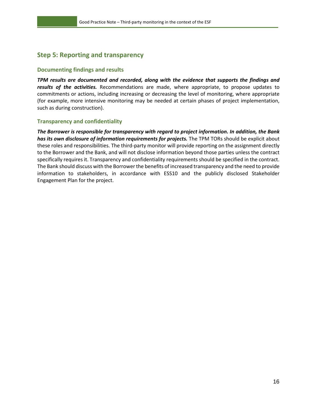# <span id="page-19-0"></span>**Step 5: Reporting and transparency**

#### <span id="page-19-1"></span>**Documenting findings and results**

*TPM results are documented and recorded, along with the evidence that supports the findings and results of the activities.* Recommendations are made, where appropriate, to propose updates to commitments or actions, including increasing or decreasing the level of monitoring, where appropriate (for example, more intensive monitoring may be needed at certain phases of project implementation, such as during construction).

#### <span id="page-19-2"></span>**Transparency and confidentiality**

*The Borrower is responsible for transparency with regard to project information. In addition, the Bank*  has its own disclosure of information requirements for projects. The TPM TORs should be explicit about these roles and responsibilities. The third-party monitor will provide reporting on the assignment directly to the Borrower and the Bank, and will not disclose information beyond those parties unless the contract specifically requires it. Transparency and confidentiality requirements should be specified in the contract. The Bank should discuss with the Borrower the benefits of increased transparency and the need to provide information to stakeholders, in accordance with ESS10 and the publicly disclosed Stakeholder Engagement Plan for the project.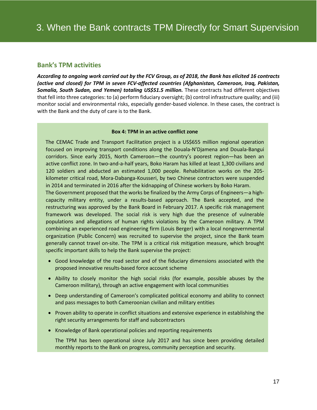## <span id="page-20-0"></span>**Bank's TPM activities**

*According to ongoing work carried out by the FCV Group, as of 2018, the Bank has elicited 16 contracts (active and closed) for TPM in seven FCV-affected countries (Afghanistan, Cameroon, Iraq, Pakistan, Somalia, South Sudan, and Yemen) totaling US\$51.5 million.* These contracts had different objectives that fell into three categories: to (a) perform fiduciary oversight; (b) control infrastructure quality; and (iii) monitor social and environmental risks, especially gender-based violence. In these cases, the contract is with the Bank and the duty of care is to the Bank.

#### **Box 4: TPM in an active conflict zone**

The CEMAC Trade and Transport Facilitation project is a US\$655 million regional operation focused on improving transport conditions along the Douala-N'Djamena and Douala-Bangui corridors. Since early 2015, North Cameroon—the country's poorest region—has been an active conflict zone. In two-and-a-half years, Boko Haram has killed at least 1,300 civilians and 120 soldiers and abducted an estimated 1,000 people. Rehabilitation works on the 205 kilometer critical road, Mora-Dabanga-Kousseri, by two Chinese contractors were suspended in 2014 and terminated in 2016 after the kidnapping of Chinese workers by Boko Haram.

The Government proposed that the works be finalized by the Army Corps of Engineers—a highcapacity military entity, under a results-based approach. The Bank accepted, and the restructuring was approved by the Bank Board in February 2017. A specific risk management framework was developed. The social risk is very high due the presence of vulnerable populations and allegations of human rights violations by the Cameroon military. A TPM combining an experienced road engineering firm (Louis Berger) with a local nongovernmental organization (Public Concern) was recruited to supervise the project, since the Bank team generally cannot travel on-site. The TPM is a critical risk mitigation measure, which brought specific important skills to help the Bank supervise the project:

- Good knowledge of the road sector and of the fiduciary dimensions associated with the proposed innovative results-based force account scheme
- Ability to closely monitor the high social risks (for example, possible abuses by the Cameroon military), through an active engagement with local communities
- Deep understanding of Cameroon's complicated political economy and ability to connect and pass messages to both Cameroonian civilian and military entities
- Proven ability to operate in conflict situations and extensive experience in establishing the right security arrangements for staff and subcontractors
- Knowledge of Bank operational policies and reporting requirements

The TPM has been operational since July 2017 and has since been providing detailed monthly reports to the Bank on progress, community perception and security.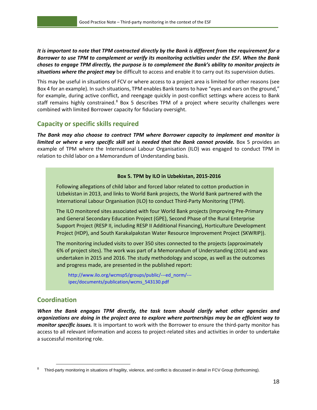*It is important to note that TPM contracted directly by the Bank is different from the requirement for a Borrower to use TPM to complement or verify its monitoring activities under the ESF. When the Bank choses to engage TPM directly, the purpose is to complement the Bank's ability to monitor projects in situations where the project may* be difficult to access and enable it to carry out its supervision duties.

This may be useful in situations of FCV or where access to a project area is limited for other reasons (see Box 4 for an example). In such situations, TPM enables Bank teams to have "eyes and ears on the ground," for example, during active conflict, and reengage quickly in post-conflict settings where access to Bank staff remains highly constrained.<sup>[8](#page-21-2)</sup> Box 5 describes TPM of a project where security challenges were combined with limited Borrower capacity for fiduciary oversight.

## <span id="page-21-0"></span>**Capacity or specific skills required**

*The Bank may also choose to contract TPM where Borrower capacity to implement and monitor is limited or where a very specific skill set is needed that the Bank cannot provide.* Box 5 provides an example of TPM where the International Labour Organisation (ILO) was engaged to conduct TPM in relation to child labor on a Memorandum of Understanding basis.

#### **Box 5. TPM by ILO in Uzbekistan, 2015-2016**

Following allegations of child labor and forced labor related to cotton production in Uzbekistan in 2013, and links to World Bank projects, the World Bank partnered with the International Labour Organisation (ILO) to conduct Third-Party Monitoring (TPM).

The ILO monitored sites associated with four World Bank projects (Improving Pre-Primary and General Secondary Education Project (GPE), Second Phase of the Rural Enterprise Support Project (RESP II, including RESP II Additional Financing), Horticulture Development Project (HDP), and South Karakalpakstan Water Resource Improvement Project (SKWRIP)).

The monitoring included visits to over 350 sites connected to the projects (approximately 6% of project sites). The work was part of a Memorandum of Understanding (2014) and was undertaken in 2015 and 2016. The study methodology and scope, as well as the outcomes and progress made, are presented in the published report:

http://www.ilo.org/wcmsp5/groups/public/---ed\_norm/-- ipec/documents/publication/wcms\_543130.pdf

# <span id="page-21-1"></span>**Coordination**

 $\ddot{\phantom{a}}$ 

*When the Bank engages TPM directly, the task team should clarify what other agencies and organizations are doing in the project area to explore where partnerships may be an efficient way to monitor specific issues.* It is important to work with the Borrower to ensure the third-party monitor has access to all relevant information and access to project-related sites and activities in order to undertake a successful monitoring role.

<span id="page-21-2"></span>Third-party monitoring in situations of fragility, violence, and conflict is discussed in detail in FCV Group (forthcoming).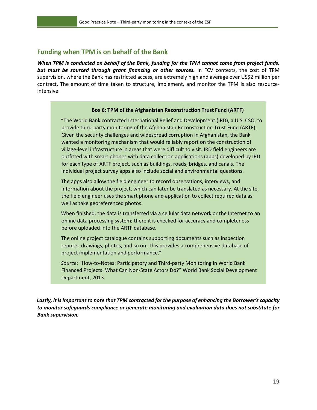## <span id="page-22-0"></span>**Funding when TPM is on behalf of the Bank**

*When TPM is conducted on behalf of the Bank, funding for the TPM cannot come from project funds, but must be sourced through grant financing or other sources.* In FCV contexts, the cost of TPM supervision, where the Bank has restricted access, are extremely high and average over US\$2 million per contract. The amount of time taken to structure, implement, and monitor the TPM is also resourceintensive.

#### **Box 6: TPM of the Afghanistan Reconstruction Trust Fund (ARTF)**

"The World Bank contracted International Relief and Development (IRD), a U.S. CSO, to provide third-party monitoring of the Afghanistan Reconstruction Trust Fund (ARTF). Given the security challenges and widespread corruption in Afghanistan, the Bank wanted a monitoring mechanism that would reliably report on the construction of village-level infrastructure in areas that were difficult to visit. IRD field engineers are outfitted with smart phones with data collection applications (apps) developed by IRD for each type of ARTF project, such as buildings, roads, bridges, and canals. The individual project survey apps also include social and environmental questions.

The apps also allow the field engineer to record observations, interviews, and information about the project, which can later be translated as necessary. At the site, the field engineer uses the smart phone and application to collect required data as well as take georeferenced photos.

When finished, the data is transferred via a cellular data network or the Internet to an online data processing system; there it is checked for accuracy and completeness before uploaded into the ARTF database.

The online project catalogue contains supporting documents such as inspection reports, drawings, photos, and so on. This provides a comprehensive database of project implementation and performance."

*Source*: "How-to-Notes: Participatory and Third-party Monitoring in World Bank Financed Projects: What Can Non-State Actors Do?" World Bank Social Development Department, 2013.

*Lastly, it is important to note that TPM contracted for the purpose of enhancing the Borrower's capacity to monitor safeguards compliance or generate monitoring and evaluation data does not substitute for Bank supervision.*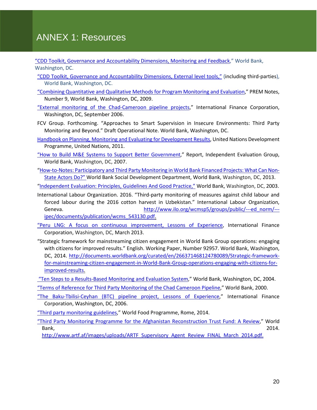# ANNEX 1: Resources

["CDD Toolkit, Governance and Accountability Dimensions, Monitoring and Feedback,](http://siteresources.worldbank.org/EXTCDD/Resources/430160-1398173497625/9544668-1398174764462/9544939-1398715866838/Sec1_Mod1_4_Community_Monitoring_Learning.pdf)" World Bank, Washington, DC.

- ["CDD Toolkit, Governance and Accountability Dimensions, External level tools,](http://siteresources.worldbank.org/EXTCDD/Resources/430160-1398173497625/9544668-1398177569436/Sec3_Full_Section_External_Level_Tools.pdf)" (including third-parties), World Bank, Washington, DC.
- ["Combining Quantitative and Qualitative Methods for Program Monitoring and Evaluation,](http://siteresources.worldbank.org/INTPOVERTY/Resources/335642-1276521901256/premnoteME9.pdf)" PREM Notes, Number 9, World Bank, Washington, DC, 2009.
- ["External monitoring of the Chad-Cameroon pipeline projects,](http://www.ifc.org/wps/wcm/connect/topics_ext_content/ifc_external_corporate_site/sustainability-at-ifc/publications/publications_loe_chadcameroon__wci__1319579582557)" International Finance Corporation, Washington, DC, September 2006.
- FCV Group. Forthcoming. "Approaches to Smart Supervision in Insecure Environments: Third Party Monitoring and Beyond." Draft Operational Note. World Bank, Washington, DC.
- [Handbook on Planning, Monitoring and Evaluating for Development Results,](http://www.undp.org/evaluation/handbook/) United Nations Development Programme, United Nations, 2011.
- ["How to Build M&E Systems to Support Better Government,](http://web.worldbank.org/WBSITE/EXTERNAL/EXTOED/EXTEVACAPDEV/0,,contentMDK:22294993%7EmenuPK:4585748%7EpagePK:64829573%7EpiPK:64829550%7EtheSitePK:4585673,00.html)" Report, Independent Evaluation Group, World Bank, Washington, DC, 2007.
- ["How-to-Notes: Participatory and Third Party Monitoring in World Bank Financed Projects: What Can Non-](http://siteresources.worldbank.org/EXTSOCIALDEVELOPMENT/Resources/244362-1193949504055/4348035-1352736698664/8931746-1364579999657/HowToNotesParticipatory&TPM.pdf)[State Actors Do?" World Bank Social Development Department,](http://siteresources.worldbank.org/EXTSOCIALDEVELOPMENT/Resources/244362-1193949504055/4348035-1352736698664/8931746-1364579999657/HowToNotesParticipatory&TPM.pdf) World Bank, Washington, DC, 2013.

["Independent Evaluation: Principles, Guidelines And Good Practice,"](http://siteresources.worldbank.org/INTDGF/Resources/Evaluation&LearningNote.pdf) World Bank, Washington, DC, 2003.

- International Labour Organization. 2016. "Third-party monitoring of measures against child labour and forced labour during the 2016 cotton harvest in Uzbekistan." International Labour Organization, Geneva. [http://www.ilo.org/wcmsp5/groups/public/---ed\\_norm/--](http://www.ilo.org/wcmsp5/groups/public/---ed_norm/---ipec/documents/publication/wcms_543130.pdf) [ipec/documents/publication/wcms\\_543130.pdf.](http://www.ilo.org/wcmsp5/groups/public/---ed_norm/---ipec/documents/publication/wcms_543130.pdf)
- ["Peru LNG: A focus on continuous improvement, Lessons of Experience,](http://www.ifc.org/wps/wcm/connect/4937c0804f612f0397f2ff0098cb14b9/IFC_LOE_PLNG.pdf?MOD=AJPERES) International Finance Corporation, Washington, DC, March 2013.
- "Strategic framework for mainstreaming citizen engagement in World Bank Group operations: engaging with citizens for improved results." English. Working Paper, Number 92957. World Bank, Washington, DC, 2014. [http://documents.worldbank.org/curated/en/266371468124780089/Strategic-framework](http://documents.worldbank.org/curated/en/266371468124780089/Strategic-framework-for-mainstreaming-citizen-engagement-in-World-Bank-Group-operations-engaging-with-citizens-for-improved-results)[for-mainstreaming-citizen-engagement-in-World-Bank-Group-operations-engaging-with-citizens-for](http://documents.worldbank.org/curated/en/266371468124780089/Strategic-framework-for-mainstreaming-citizen-engagement-in-World-Bank-Group-operations-engaging-with-citizens-for-improved-results)[improved-results.](http://documents.worldbank.org/curated/en/266371468124780089/Strategic-framework-for-mainstreaming-citizen-engagement-in-World-Bank-Group-operations-engaging-with-citizens-for-improved-results)
- ["Ten Steps to a Results-Based Monitoring and Evaluation System,](http://documents.worldbank.org/curated/en/638011468766181874/pdf/296720PAPER0100steps.pdf)" World Bank, Washington, DC, 2004.
- "Terms of Reference for [Third Party Monitoring of the Chad Cameroon Pipeline,](http://web.worldbank.org/archive/website01210/WEB/IMAGES/ECMG_TOR.PDF)" World Bank, 2000.
- ["The Baku-Tbilisi-Ceyhan \(BTC\) pipeline project, Lessons of Experience,](http://www.ifc.org/wps/wcm/connect/d01d2180488556f0bb0cfb6a6515bb18/BTC_LOE_Final.pdf?MOD=AJPERES&CACHEID=d01d2180488556f0bb0cfb6a6515bb18)" International Finance Corporation, Washington, DC, 2006.
- ["Third party monitoring guidelines,](http://documents.wfp.org/stellent/groups/public/documents/reports/wfp270041.pdf)" World Food Programme, Rome, 2014.
- ["Third Party Monitoring Programme for the Afghanistan Reconstruction Trust Fund: A Review,](http://www.artf.af/images/uploads/ARTF_Supervisory_Agent_Review_FINAL_March_2014.pdf)" World Bank, 2014.

[http://www.artf.af/images/uploads/ARTF\\_Supervisory\\_Agent\\_Review\\_FINAL\\_March\\_2014.pdf.](http://www.artf.af/images/uploads/ARTF_Supervisory_Agent_Review_FINAL_March_2014.pdf)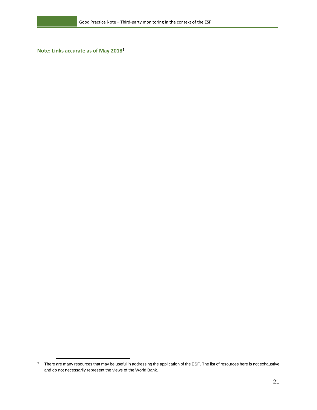**Note: Links accurate as of May 2018[9](#page-24-0)**

 $\overline{a}$ 

<span id="page-24-0"></span><sup>&</sup>lt;sup>9</sup> There are many resources that may be useful in addressing the application of the ESF. The list of resources here is not exhaustive and do not necessarily represent the views of the World Bank.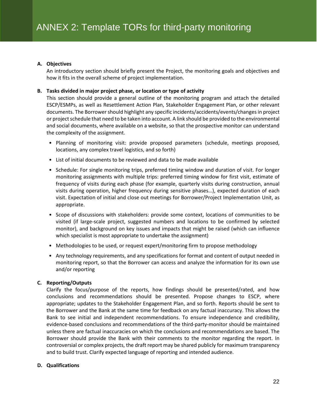#### **A. Objectives**

An introductory section should briefly present the Project, the monitoring goals and objectives and how it fits in the overall scheme of project implementation.

#### **B. Tasks divided in major project phase, or location or type of activity**

This section should provide a general outline of the monitoring program and attach the detailed ESCP/ESMPs, as well as Resettlement Action Plan, Stakeholder Engagement Plan, or other relevant documents. The Borrower should highlight any specific incidents/accidents/events/changes in project or project schedule that need to be taken into account. A link should be provided to the environmental and social documents, where available on a website, so that the prospective monitor can understand the complexity of the assignment.

- Planning of monitoring visit: provide proposed parameters (schedule, meetings proposed, locations, any complex travel logistics, and so forth)
- List of initial documents to be reviewed and data to be made available
- Schedule: For single monitoring trips, preferred timing window and duration of visit. For longer monitoring assignments with multiple trips: preferred timing window for first visit, estimate of frequency of visits during each phase (for example, quarterly visits during construction, annual visits during operation, higher frequency during sensitive phases…), expected duration of each visit. Expectation of initial and close out meetings for Borrower/Project Implementation Unit, as appropriate.
- Scope of discussions with stakeholders: provide some context, locations of communities to be visited (if large-scale project, suggested numbers and locations to be confirmed by selected monitor), and background on key issues and impacts that might be raised (which can influence which specialist is most appropriate to undertake the assignment)
- Methodologies to be used, or request expert/monitoring firm to propose methodology
- Any technology requirements, and any specifications for format and content of output needed in monitoring report, so that the Borrower can access and analyze the information for its own use and/or reporting

#### **C. Reporting/Outputs**

Clarify the focus/purpose of the reports, how findings should be presented/rated, and how conclusions and recommendations should be presented. Propose changes to ESCP, where appropriate; updates to the Stakeholder Engagement Plan, and so forth. Reports should be sent to the Borrower and the Bank at the same time for feedback on any factual inaccuracy. This allows the Bank to see initial and independent recommendations. To ensure independence and credibility, evidence-based conclusions and recommendations of the third-party-monitor should be maintained unless there are factual inaccuracies on which the conclusions and recommendations are based. The Borrower should provide the Bank with their comments to the monitor regarding the report. In controversial or complex projects, the draft report may be shared publicly for maximum transparency and to build trust. Clarify expected language of reporting and intended audience.

#### **D. Qualifications**